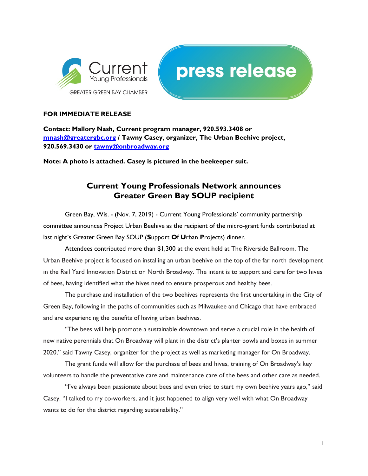



## FOR IMMEDIATE RELEASE

Contact: Mallory Nash, Current program manager, 920.593.3408 or mnash@greatergbc.org / Tawny Casey, organizer, The Urban Beehive project, 920.569.3430 or tawny@onbroadway.org

Note: A photo is attached. Casey is pictured in the beekeeper suit.

## Current Young Professionals Network announces Greater Green Bay SOUP recipient

Green Bay, Wis. - (Nov. 7, 2019) - Current Young Professionals' community partnership committee announces Project Urban Beehive as the recipient of the micro-grant funds contributed at last night's Greater Green Bay SOUP (Support Of Urban Projects) dinner.

Attendees contributed more than \$1,300 at the event held at The Riverside Ballroom. The Urban Beehive project is focused on installing an urban beehive on the top of the far north development in the Rail Yard Innovation District on North Broadway. The intent is to support and care for two hives of bees, having identified what the hives need to ensure prosperous and healthy bees.

The purchase and installation of the two beehives represents the first undertaking in the City of Green Bay, following in the paths of communities such as Milwaukee and Chicago that have embraced and are experiencing the benefits of having urban beehives.

"The bees will help promote a sustainable downtown and serve a crucial role in the health of new native perennials that On Broadway will plant in the district's planter bowls and boxes in summer 2020," said Tawny Casey, organizer for the project as well as marketing manager for On Broadway.

The grant funds will allow for the purchase of bees and hives, training of On Broadway's key volunteers to handle the preventative care and maintenance care of the bees and other care as needed.

"I've always been passionate about bees and even tried to start my own beehive years ago," said Casey. "I talked to my co-workers, and it just happened to align very well with what On Broadway wants to do for the district regarding sustainability."